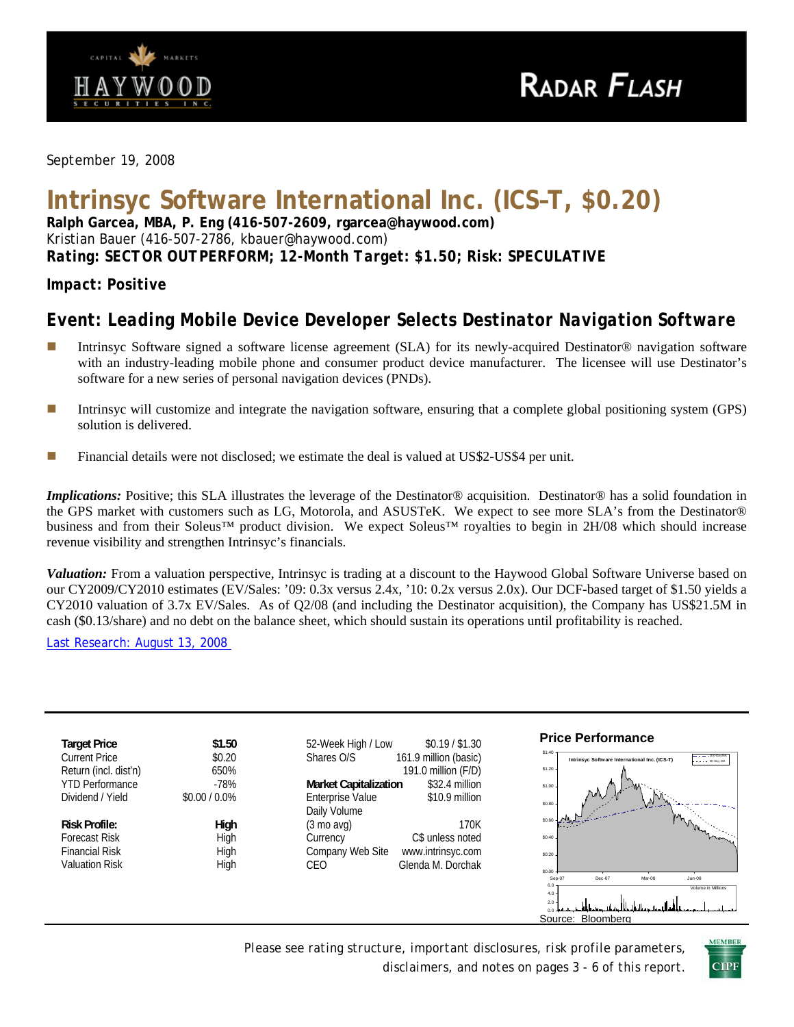

*September 19, 2008* 

# **Intrinsyc Software International Inc. (ICS–T, \$0.20)**

**Ralph Garcea, MBA, P. Eng (416-507-2609, rgarcea@haywood.com)**  Kristian Bauer (416-507-2786, kbauer@haywood.com) *Rating: SECTOR OUTPERFORM; 12-Month Target: \$1.50; Risk: SPECULATIVE* 

## *Impact: Positive*

## *Event: Leading Mobile Device Developer Selects Destinator Navigation Software*

- Intrinsyc Software signed a software license agreement (SLA) for its newly-acquired Destinator® navigation software with an industry-leading mobile phone and consumer product device manufacturer. The licensee will use Destinator's software for a new series of personal navigation devices (PNDs).
- Intrinsyc will customize and integrate the navigation software, ensuring that a complete global positioning system (GPS) solution is delivered.
- **Financial details were not disclosed; we estimate the deal is valued at US\$2-US\$4 per unit.**

*Implications:* Positive; this SLA illustrates the leverage of the Destinator® acquisition. Destinator® has a solid foundation in the GPS market with customers such as LG, Motorola, and ASUSTeK. We expect to see more SLA's from the Destinator® business and from their Soleus™ product division. We expect Soleus™ royalties to begin in 2H/08 which should increase revenue visibility and strengthen Intrinsyc's financials.

*Valuation:* From a valuation perspective, Intrinsyc is trading at a discount to the Haywood Global Software Universe based on our CY2009/CY2010 estimates (EV/Sales: '09: 0.3x versus 2.4x, '10: 0.2x versus 2.0x). Our DCF-based target of \$1.50 yields a CY2010 valuation of 3.7x EV/Sales. As of Q2/08 (and including the Destinator acquisition), the Company has US\$21.5M in cash (\$0.13/share) and no debt on the balance sheet, which should sustain its operations until profitability is reached.

Last Research: August 13, 2008

| <b>Target Price</b>    | \$1.50          | \$0.19 / \$1.30<br>52-Week High / Low                     | <b>Price Performance</b>                                                                                                 |
|------------------------|-----------------|-----------------------------------------------------------|--------------------------------------------------------------------------------------------------------------------------|
| <b>Current Price</b>   | \$0.20          | 161.9 million (basic)<br>Shares O/S                       | $$1.40 -$<br>$\overline{---200\text{-}$ DavMA<br>Intrinsyc Software International Inc. (ICS-T)<br>$- - - - - 50$ -Day MA |
| Return (incl. dist'n)  | 650%            | 191.0 million (F/D)                                       | $$1.20 -$                                                                                                                |
| <b>YTD Performance</b> | $-78%$          | \$32.4 million<br><b>Market Capitalization</b>            | \$1.00.                                                                                                                  |
| Dividend / Yield       | $$0.00 / 0.0\%$ | <b>Enterprise Value</b><br>\$10.9 million<br>Daily Volume | \$0.80                                                                                                                   |
| <b>Risk Profile:</b>   | High            | 170K<br>(3 mo avg)                                        | \$0.60                                                                                                                   |
| <b>Forecast Risk</b>   | High            | C\$ unless noted<br>Currency                              | \$0.40                                                                                                                   |
| <b>Financial Risk</b>  | High            | Company Web Site<br>www.intrinsyc.com                     | \$0.20                                                                                                                   |
| <b>Valuation Risk</b>  | High            | Glenda M. Dorchak<br>CEO                                  | \$0.00                                                                                                                   |
|                        |                 |                                                           | $Jun-08$<br>Dec-07<br>Sep-07<br>Mar-08<br>6.0<br>Volume in Millions                                                      |
|                        |                 |                                                           | $4.0 -$<br>2.0                                                                                                           |
|                        |                 |                                                           | <b>Bloomberg</b><br>Source:                                                                                              |

*Please see rating structure, important disclosures, risk profile parameters, disclaimers, and notes on pages 3 - 6 of this report*.

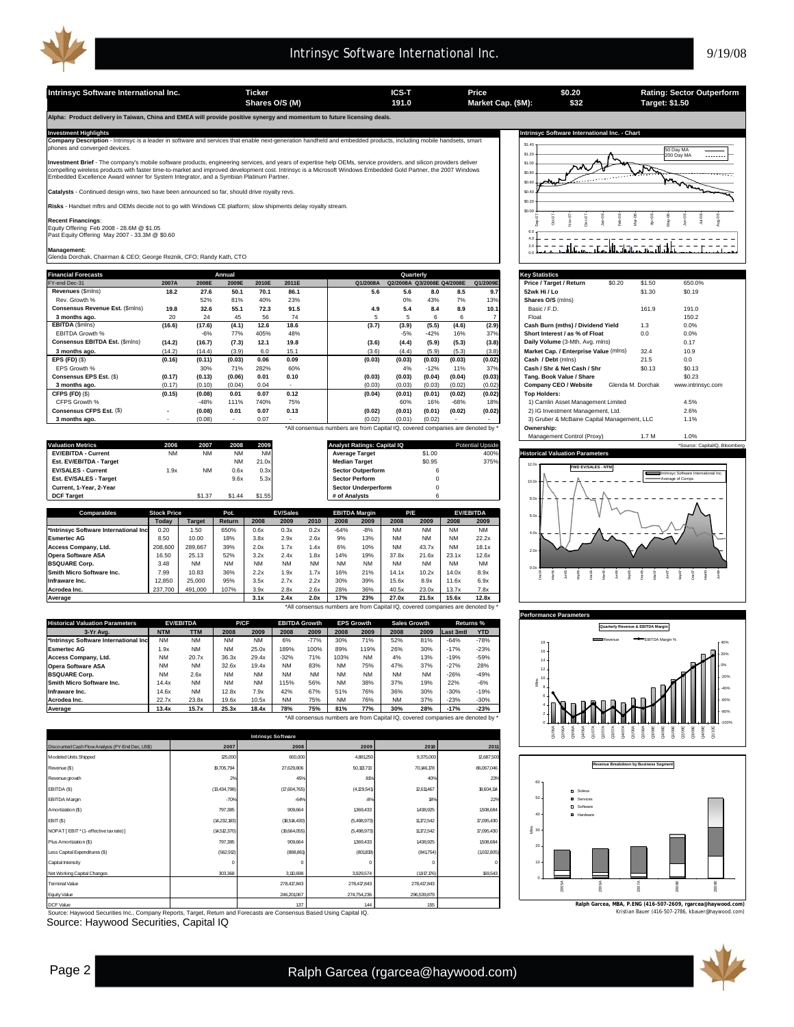

**Intrinsyc Software International Inc. Ticker ICS-T Price Rating: Sector Outperform \$0.20 \$32 Shares O/S (M) Market Cap. (\$M): 191.0 Target: \$1.50 Alpha: Product delivery in Taiwan, China and EMEA will provide positive synergy and momentum to future licensing deals.**  Investment Highlights Mathemational Inc. - Chart<br>Company Description - Intrinsyc is a leader in software and services that enable next-generation handheld and embedded products, including mobile handsets, smart state of th \$1.40 \$1.20  $\mathcal{L}$ **nt Brief** - The company's mobile software products, engineering services, and years of expertise help OEMs, service providers, and silicon providers deliver \$1.0 へん compelling wireless products with faster time-to-market and improved development cost. Intrinsyc is a Microsoft Windows Embedded Gold Partner, the 2007 Windows<br>Embedded Excellence Award winner for System Integrator, and a \$0.8 بمهيمه \$0.60 **Exalysts** - Continued design wins, two have been announced so far, should drive royalty revs. \$0.40 **Risks** - Handset mftrs and OEMs decide not to go with Windows CE platform; slow shipments delay royalty stream. \$0.20  $50.0$ Apr-08 Sep-07 Jan-08 Feb-08 Mar-08 **Recent Financings**:  $\frac{9}{5}$ Nov-07 Dec-07 Equity Offering Feb 2008 - 28.6M @ \$1.05 Past Equity Offering May 2007 - 33.3M @ \$0.60 6.0 4.0 2.0 **Management:** Glenda Dorchak, Chairman & CEO; George Reznik, CFO; Randy Kath, CTO 0.0 Financial Forecasts **Financial Constanting Constant Constanting Constanting Constanting Constanting Constanting**<br>Financial Constanting Constanting Constanting Constanting Constanting Constanting Constanting Constanting Co **Annual Quarterly** FY-end Dec-31 **2007A 2008E 2009E 2010E 2011E Q1/2008A Q2/2008A Q3/2008E Q4/2008E Q1/2009E Price / Target / Return** \$0.20 \$1.50 650.0% **Revenues** (\$mlns) **18.2 27.6 50.1 70.1 86.1 5.6 5.6 8.0 8.5 9.7 52wk Hi / Lo** \$1.30 \$0.19 Rev. Growth % 52% 81% 40% 23% 0% 43% 7% 13% **Shares O/S** (mlns) **Consensus Revenue Est. (\$mlns) 19.8 32.6 55.1 72.3 91.5 4.9 5.4 8.4 8.9 10.1**<br> **3 months ago.** 20 24 45 56 74 5 5 6 6 7<br> **EBITDA** (\$mlns) (16.6) (17.6) (4.1) 12.6 18.6 (3.7) (3.9) (5.5) (4.6) (2.9 **3 months ago.** 20 24 45 56 74 | 5 5 6 6 7 | | Float 150.2 **EBITDA** (\$mlns) **(16.6) (17.6) (4.1) 12.6 18.6 (3.7) (3.9) (5.5) (4.6) (2.9) Cash Burn (mths) / Dividend Yield** 1.3 0.0% EBITDA Growth % -6% 77% 405% 48% -5% -42% 16% 37% **Short Interest / as % of Float** 0.0 0.0% **Consensus EBITDA Est.** (\$mlns) **(14.2) (16.7) (7.3) 12.1 19.8 (3.6) (4.4) (5.9) (5.3)** (3.8)<br> **3** months ago. (14.2) (14.2) (14.2) (3.9) 6.0 15.1 (3.6) (4.4) (5.9) (5.3) (3. **3 months ago.** (14.2) (14.4) 6.0 15.1 (3.9) (3.6) (5.9) (5.3) (4.4) (3.8) **Market Cap. / Enterprise Value** (mlns) 32.4 10.9 **EPS (FD)** (\$) **(0.16) (0.11) 0.06 0.09 (0.03) (0.03) (0.03) (0.03) (0.03) (0.02) Cash / Debt** (mlns) 21.5 0.0 EPS Growth % 30% 71% 282% 60% 4% -12% 11% 37% **Cash / Shr & Net Cash / Shr** \$0.13 \$0.13 **Consensus EPS Est.** (\$) (0.17) (0.13) (0.06) 0.01 0.10 (0.03) (0.03) (0.04) (0.04) (0.03) **3 months ago.** (0.17) (0.04) 0.04 (0.03) (0.03) (0.02) (0.02) **| Company CEO / Website** Glenda M. Dorchak www.intrinsyc.com **CFPS (FD)** (\$) **(0.15) (0.08) 0.01 0.07 0.12 (0.04) (0.01) (0.01) (0.02) (0.02) Top Holders:** CFPS Growth % -48% 111% 740% 75% | 60% 16% -68% 18% | 1) Camlin Asset Management Limited 4.5% -48% 1 **Consensus CFPS Est.** (\$) **(0.08) - 0.01 0.07 0.13 (0.02) (0.01) (0.01) (0.02) (0.02)** 2) IG Investment Management, Ltd. 2.6% **3 months ago.** - (0.08) - 0.07 - (0.02) (0.01) (0.02) - 3) Gruber & McBaine Capital Management, LLC 1.1% \*All consensus numbers are from Capital IQ, covered companies are denoted by \* **Ownership: Valuation Metrics 2006 2007 2008 2009 Analyst Ratings: Capital IQ Potential Upside \*Source: Capital Upside \*Source: CapitalIQ, Bloomberg EV/EBITDA - Current** NM NM NM NM **Average Target** \$1.00 400% **Historical Valuation Parameters Est. EV/EBITDA - Target** NM 21.0x **Median Target** \$0.95 375% 12.0x **EV/SALES - Current** 1.9x NM 0.6x 0.3x **Sector Outperform** 6<br> **Est. EV/SALES - Target** 1.9x 9.6x 5.3x **Sector Perform** 0 **FWD EV/SALES - NTM Est. EV/SALES - Target** 

| Current, 1-Year, 2-Year<br><b>DCF Target</b>                                   |                    | \$1.37        | <b>\$1.44</b> | \$1.55    |                 |           | # of Analysts | <b>Sector Underperform</b> |           | $\Omega$<br>6 |           |                  |
|--------------------------------------------------------------------------------|--------------------|---------------|---------------|-----------|-----------------|-----------|---------------|----------------------------|-----------|---------------|-----------|------------------|
| <b>Comparables</b>                                                             | <b>Stock Price</b> |               | Pot.          |           | <b>EV/Sales</b> |           |               | <b>EBITDA Margin</b>       | P/E       |               |           | <b>EV/EBITDA</b> |
|                                                                                | Todav              | <b>Target</b> | <b>Return</b> | 2008      | 2009            | 2010      | 2008          | 2009                       | 2008      | 2009          | 2008      | 2009             |
| *Intrinsvc Software International Inc                                          | 0.20               | 1.50          | 650%          | 0.6x      | 0.3x            | 0.2x      | $-64%$        | $-8%$                      | <b>NM</b> | <b>NM</b>     | <b>NM</b> | <b>NM</b>        |
| <b>Esmertec AG</b>                                                             | 8.50               | 10.00         | 18%           | 3.8x      | 2.9x            | 2.6x      | 9%            | 13%                        | <b>NM</b> | <b>NM</b>     | <b>NM</b> | 22.2x            |
| Access Company, Ltd.                                                           | 208,600            | 289.667       | 39%           | 2.0x      | 1.7x            | 1.4x      | 6%            | 10%                        | <b>NM</b> | 43.7x         | <b>NM</b> | 18.1x            |
| <b>Opera Software ASA</b>                                                      | 16.50              | 25.13         | 52%           | 3.2x      | 2.4x            | 1.8x      | 14%           | 19%                        | 37.8x     | 21.6x         | 23.1x     | 12.6x            |
| <b>BSQUARE Corp.</b>                                                           | 3.48               | <b>NM</b>     | NΜ            | <b>NM</b> | <b>NM</b>       | <b>NM</b> | <b>NM</b>     | <b>NM</b>                  | <b>NM</b> | <b>NM</b>     | <b>NM</b> | <b>NM</b>        |
| Smith Micro Software Inc.                                                      | 7.99               | 10.83         | 36%           | 2.2x      | 1.9x            | 1.7x      | 16%           | 21%                        | 14.1x     | 10.2x         | 14.0x     | 8.9x             |
| Infraware Inc.                                                                 | 12.850             | 25,000        | 95%           | 3.5x      | 2.7x            | 2.2x      | 30%           | 39%                        | 15.6x     | 8.9x          | 11.6x     | 6.9x             |
| Acrodea Inc.                                                                   | 237,700            | 491.000       | 107%          | 3.9x      | 2.8x            | 2.6x      | 28%           | 36%                        | 40.5x     | 23.0x         | 13.7x     | 7.8x             |
| Average                                                                        |                    |               |               | 3.1x      | 2.4x            | 2.0x      | 17%           | 23%                        | 27.0x     | 21.5x         | 15.6x     | 12.8x            |
| *All consensus numbers are from Capital IQ, covered companies are denoted by * |                    |               |               |           |                 |           |               |                            |           |               |           |                  |

| <b>Historical Valuation Parameters</b> | <b>EV/EBITDA</b> |            | P/CF      |           | <b>EBITDA Growth</b> |           | <b>EPS Growth</b> |           | <b>Sales Growth</b> |           | Returns % |            |
|----------------------------------------|------------------|------------|-----------|-----------|----------------------|-----------|-------------------|-----------|---------------------|-----------|-----------|------------|
| 3-Yr Ava.                              | <b>NTM</b>       | <b>TTM</b> | 2008      | 2009      | 2008                 | 2009      | 2008              | 2009      | 2008                | 2009      | Last 3mtl | <b>YTD</b> |
| *Intrinsyc Software International Inc  | <b>NM</b>        | <b>NM</b>  | <b>NM</b> | <b>NM</b> | 6%                   | $-77%$    | 30%               | 71%       | 52%                 | 81%       | $-64%$    | $-78%$     |
| <b>Esmertec AG</b>                     | 1.9x             | <b>NM</b>  | <b>NM</b> | 25.0x     | 189%                 | 100%      | 89%               | 119%      | 26%                 | 30%       | $-17%$    | $-23%$     |
| Access Company, Ltd.                   | <b>NM</b>        | 20.7x      | 36.3x     | 29.4x     | $-32%$               | 71%       | 103%              | <b>NM</b> | 4%                  | 13%       | $-19%$    | $-59%$     |
| <b>Opera Software ASA</b>              | <b>NM</b>        | <b>NM</b>  | 32.6x     | 19.4x     | <b>NM</b>            | 83%       | <b>NM</b>         | 75%       | 47%                 | 37%       | $-27%$    | 28%        |
| <b>BSQUARE Corp.</b>                   | <b>NM</b>        | 2.6x       | <b>NM</b> | <b>NM</b> | <b>NM</b>            | <b>NM</b> | <b>NM</b>         | <b>NM</b> | <b>NM</b>           | <b>NM</b> | $-26%$    | $-49%$     |
| Smith Micro Software Inc.              | 14.4x            | <b>NM</b>  | <b>NM</b> | <b>NM</b> | 115%                 | 56%       | <b>NM</b>         | 38%       | 37%                 | 19%       | 22%       | $-6%$      |
| Infraware Inc.                         | 14.6x            | <b>NM</b>  | 12.8x     | 7.9x      | 42%                  | 67%       | 51%               | 76%       | 36%                 | 30%       | $-30%$    | $-19%$     |
| Acrodea Inc.                           | 22.7x            | 23.8x      | 19.6x     | 10.5x     | <b>NM</b>            | 75%       | <b>NM</b>         | 76%       | <b>NM</b>           | 37%       | $-23%$    | $-30%$     |
| <b>Average</b>                         | 13.4x            | 15.7x      | 25.3x     | 18.4x     | 78%                  | 75%       | 81%               | 77%       | 30%                 | 28%       | $-17%$    | $-23%$     |

\*All consensus numbers are from Capital IQ, covered companies are denoted by \*

| <b>Intrinsyc Software</b>                        |                |              |               |              |            |  |  |  |  |  |
|--------------------------------------------------|----------------|--------------|---------------|--------------|------------|--|--|--|--|--|
| Discounted Cash Flow Analysis (FY-End Dec, US\$) | 2007           | 2008         | 2009          | 2010         | 2011       |  |  |  |  |  |
| Modeled Units Shipped                            | 125,000        | 600,000      | 4,881250      | 9,375,000    | 12,687,500 |  |  |  |  |  |
| Revenue (\$)                                     | 19,705,794     | 27,629,806   | 50,13,713     | 70,146,178   | 86,067,046 |  |  |  |  |  |
| Revenue growth                                   | 2%             | 45%          | 81%           | 40%          | 23%        |  |  |  |  |  |
| EBITDA (\$)                                      | (13, 434, 798) | (17,604,765) | (4, 129, 541) | 12,611,467   | 18,604,114 |  |  |  |  |  |
| <b>EBITDA</b> Margin                             | $-70%$         | $-64%$       | $-8%$         | 18%          | 22%        |  |  |  |  |  |
| Amortization (\$)                                | 797,385        | 909,664      | 1369,433      | 1438,925     | 1508,684   |  |  |  |  |  |
| EBIT(\$)                                         | (14,232,183)   | (18,514,430) | (5,498,973)   | 11, 172, 542 | 17,095,430 |  |  |  |  |  |
| NOPAT [EBIT * (1- effective tax rate) ]          | (14,512,370)   | (18,664,055) | (5,498,973)   | 11, 172, 542 | 17,095,430 |  |  |  |  |  |
| Plus Amortization (\$)                           | 797,385        | 909,664      | 1369,433      | 1438,925     | 1508,684   |  |  |  |  |  |
| Less Capital Expenditures (\$)                   | (562, 912)     | (888,861)    | (801819)      | (841754)     | (1032,805) |  |  |  |  |  |
| Capital Intensity                                | $^{\circ}$     | $\circ$      | O             | C            | $\Omega$   |  |  |  |  |  |
| Net Working Capital Changes                      | 303,368        | 3,110,698    | 3,929,574     | (1917, 176)  | 169,543    |  |  |  |  |  |
| <b>Terminal Value</b>                            |                | 278,417,843  | 278,417,843   | 278,417,843  |            |  |  |  |  |  |
| Equity Value                                     |                | 246,201,067  | 274,754,236   | 296,539,879  |            |  |  |  |  |  |
| <b>DCF</b> Value                                 |                | 137          | 144           | 155          |            |  |  |  |  |  |

Source: Haywood Securities Inc., Company Reports, Target, Return and Forecasts are Consensus Based Using Capital IQ.

Source: Haywood Securities, Capital IQ



| Price / Target / Return                     | ⊕U.∠U | 31.JU             | 00U.U%                                |  |  |  |
|---------------------------------------------|-------|-------------------|---------------------------------------|--|--|--|
| 52wk Hi / Lo                                |       | \$1.30            | \$0.19                                |  |  |  |
| Shares O/S (mins)                           |       |                   |                                       |  |  |  |
| Basic / F.D.                                |       | 161.9             | 191.0                                 |  |  |  |
| Float                                       |       |                   | 150.2                                 |  |  |  |
| Cash Burn (mths) / Dividend Yield           |       | 1.3               | 0.0%                                  |  |  |  |
| Short Interest / as % of Float              |       | 0.0               | 0.0%                                  |  |  |  |
| Daily Volume (3-Mth. Avg. mlns)             |       |                   | 0.17                                  |  |  |  |
| Market Cap. / Enterprise Value (mlns)       |       | 32.4              | 10.9                                  |  |  |  |
| Cash / Debt (mlns)                          |       | 21.5              | 0.0                                   |  |  |  |
| Cash / Shr & Net Cash / Shr                 |       | \$0.13            | \$0.13                                |  |  |  |
| Tang, Book Value / Share                    |       |                   | \$0.23                                |  |  |  |
| Company CEO / Website                       |       | Glenda M. Dorchak | www.intrinsyc.com                     |  |  |  |
| <b>Top Holders:</b>                         |       |                   |                                       |  |  |  |
| 1) Camlin Asset Management Limited          |       |                   | 4.5%                                  |  |  |  |
| 2) IG Investment Management, Ltd.           |       |                   | 2.6%                                  |  |  |  |
| 3) Gruber & McBaine Capital Management, LLC |       |                   | 1.1%                                  |  |  |  |
| Ownership:                                  |       |                   |                                       |  |  |  |
| Management Control (Proxy)                  |       | 1.7M              | 1.0%                                  |  |  |  |
|                                             |       |                   | *Source: CapitalIQ, Bloomberg         |  |  |  |
| <b>Historical Valuation Parameters</b>      |       |                   |                                       |  |  |  |
| 12.0x                                       |       |                   |                                       |  |  |  |
| <b>FWD EV/SALES - NTM</b>                   |       |                   | Intrinsvc Software International Inc. |  |  |  |
| 10.0x                                       |       |                   | Average of Comps                      |  |  |  |
|                                             |       |                   |                                       |  |  |  |
| 8.0x                                        |       |                   |                                       |  |  |  |
|                                             |       |                   |                                       |  |  |  |
| 6.0x                                        |       |                   |                                       |  |  |  |
|                                             |       |                   |                                       |  |  |  |



Q3<br>Q1/08A Q3/08A Q3/08A<br>Q1/08A Q3/08A Q1/08A Q1/08A  $\frac{8}{4}$ Q1/10E

0 4

4.0x



**Ralph Garcea, MBA, P.ENG (416-507-2609, rgarcea@haywood.com)**



-100% -80% -60%

1.37 1.44 1.55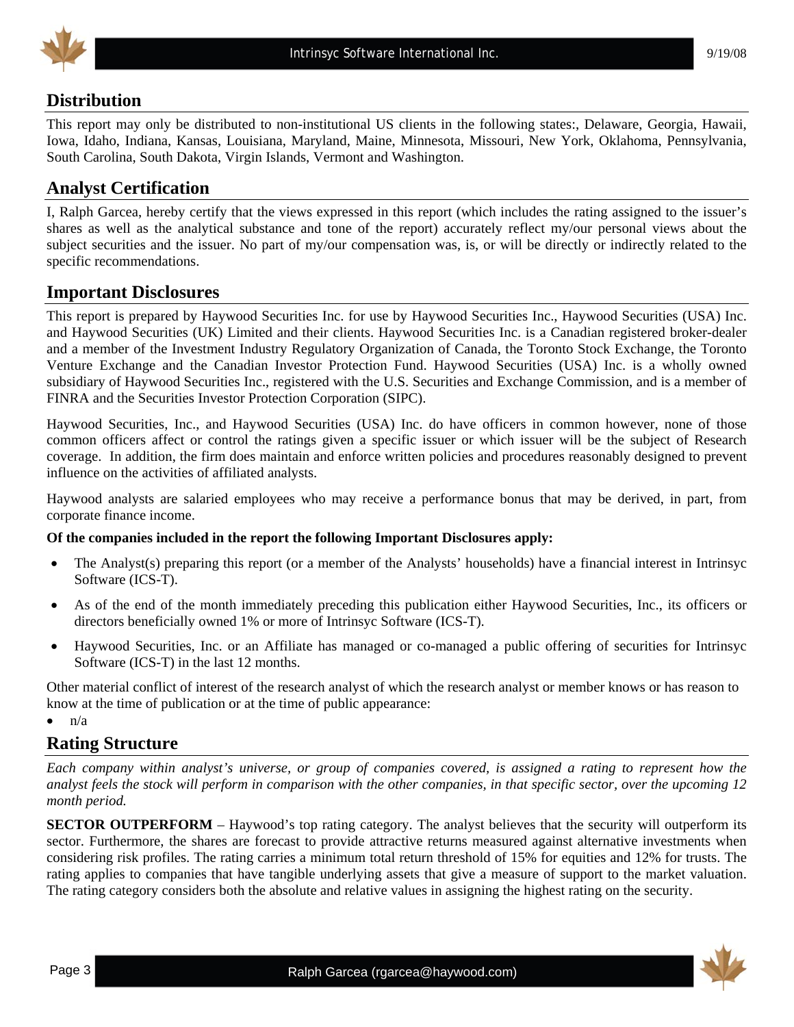

## **Distribution**

This report may only be distributed to non-institutional US clients in the following states:, Delaware, Georgia, Hawaii, Iowa, Idaho, Indiana, Kansas, Louisiana, Maryland, Maine, Minnesota, Missouri, New York, Oklahoma, Pennsylvania, South Carolina, South Dakota, Virgin Islands, Vermont and Washington.

## **Analyst Certification**

I, Ralph Garcea, hereby certify that the views expressed in this report (which includes the rating assigned to the issuer's shares as well as the analytical substance and tone of the report) accurately reflect my/our personal views about the subject securities and the issuer. No part of my/our compensation was, is, or will be directly or indirectly related to the specific recommendations.

## **Important Disclosures**

This report is prepared by Haywood Securities Inc. for use by Haywood Securities Inc., Haywood Securities (USA) Inc. and Haywood Securities (UK) Limited and their clients. Haywood Securities Inc. is a Canadian registered broker-dealer and a member of the Investment Industry Regulatory Organization of Canada, the Toronto Stock Exchange, the Toronto Venture Exchange and the Canadian Investor Protection Fund. Haywood Securities (USA) Inc. is a wholly owned subsidiary of Haywood Securities Inc., registered with the U.S. Securities and Exchange Commission, and is a member of FINRA and the Securities Investor Protection Corporation (SIPC).

Haywood Securities, Inc., and Haywood Securities (USA) Inc. do have officers in common however, none of those common officers affect or control the ratings given a specific issuer or which issuer will be the subject of Research coverage. In addition, the firm does maintain and enforce written policies and procedures reasonably designed to prevent influence on the activities of affiliated analysts.

Haywood analysts are salaried employees who may receive a performance bonus that may be derived, in part, from corporate finance income.

#### **Of the companies included in the report the following Important Disclosures apply:**

- The Analyst(s) preparing this report (or a member of the Analysts' households) have a financial interest in Intrinsyc Software (ICS-T).
- As of the end of the month immediately preceding this publication either Haywood Securities, Inc., its officers or directors beneficially owned 1% or more of Intrinsyc Software (ICS-T).
- Haywood Securities, Inc. or an Affiliate has managed or co-managed a public offering of securities for Intrinsyc Software (ICS-T) in the last 12 months.

Other material conflict of interest of the research analyst of which the research analyst or member knows or has reason to know at the time of publication or at the time of public appearance:

 $\bullet$   $n/a$ 

## **Rating Structure**

*Each company within analyst's universe, or group of companies covered, is assigned a rating to represent how the analyst feels the stock will perform in comparison with the other companies, in that specific sector, over the upcoming 12 month period.* 

**SECTOR OUTPERFORM** – Haywood's top rating category. The analyst believes that the security will outperform its sector. Furthermore, the shares are forecast to provide attractive returns measured against alternative investments when considering risk profiles. The rating carries a minimum total return threshold of 15% for equities and 12% for trusts. The rating applies to companies that have tangible underlying assets that give a measure of support to the market valuation. The rating category considers both the absolute and relative values in assigning the highest rating on the security.

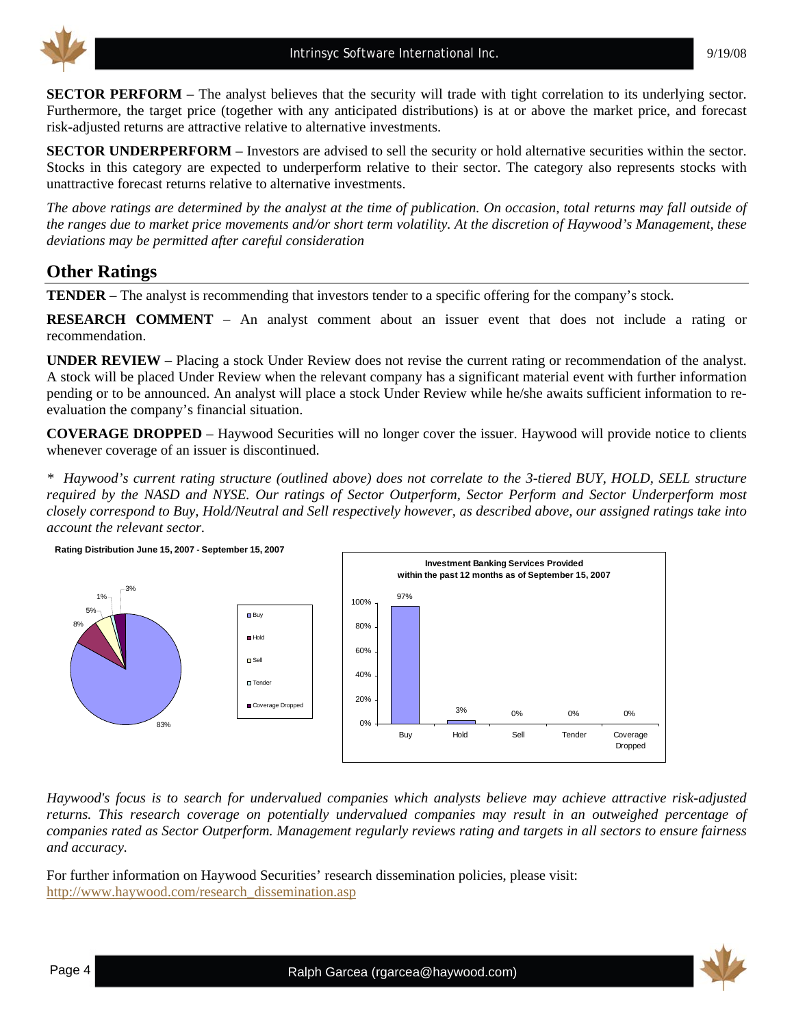

**SECTOR PERFORM** – The analyst believes that the security will trade with tight correlation to its underlying sector. Furthermore, the target price (together with any anticipated distributions) is at or above the market price, and forecast risk-adjusted returns are attractive relative to alternative investments.

**SECTOR UNDERPERFORM** – Investors are advised to sell the security or hold alternative securities within the sector. Stocks in this category are expected to underperform relative to their sector. The category also represents stocks with unattractive forecast returns relative to alternative investments.

*The above ratings are determined by the analyst at the time of publication. On occasion, total returns may fall outside of the ranges due to market price movements and/or short term volatility. At the discretion of Haywood's Management, these deviations may be permitted after careful consideration* 

## **Other Ratings**

**TENDER –** The analyst is recommending that investors tender to a specific offering for the company's stock.

**RESEARCH COMMENT** – An analyst comment about an issuer event that does not include a rating or recommendation.

**UNDER REVIEW –** Placing a stock Under Review does not revise the current rating or recommendation of the analyst. A stock will be placed Under Review when the relevant company has a significant material event with further information pending or to be announced. An analyst will place a stock Under Review while he/she awaits sufficient information to reevaluation the company's financial situation.

**COVERAGE DROPPED** – Haywood Securities will no longer cover the issuer. Haywood will provide notice to clients whenever coverage of an issuer is discontinued.

*\* Haywood's current rating structure (outlined above) does not correlate to the 3-tiered BUY, HOLD, SELL structure required by the NASD and NYSE. Our ratings of Sector Outperform, Sector Perform and Sector Underperform most closely correspond to Buy, Hold/Neutral and Sell respectively however, as described above, our assigned ratings take into account the relevant sector.* 



*Haywood's focus is to search for undervalued companies which analysts believe may achieve attractive risk-adjusted returns. This research coverage on potentially undervalued companies may result in an outweighed percentage of companies rated as Sector Outperform. Management regularly reviews rating and targets in all sectors to ensure fairness and accuracy.* 

For further information on Haywood Securities' research dissemination policies, please visit: [http://www.haywood.com/research\\_dissemination.asp](http://www.haywood.com/research_dissemination.asp) 

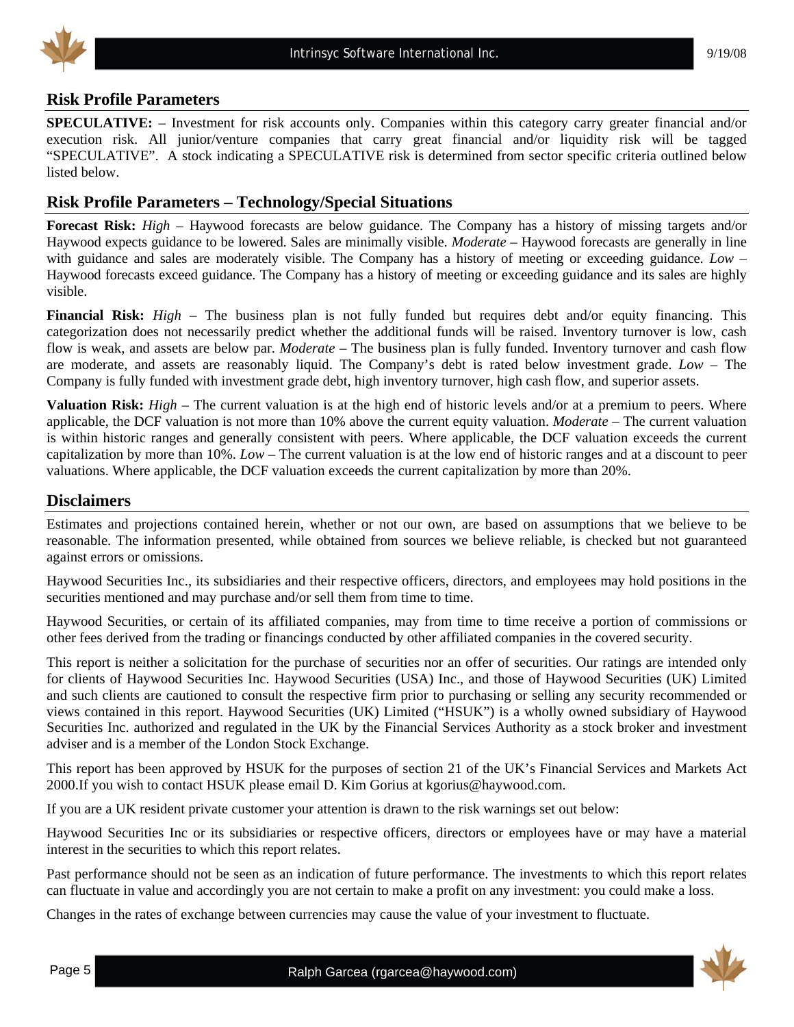

## **Risk Profile Parameters**

**SPECULATIVE:** – Investment for risk accounts only. Companies within this category carry greater financial and/or execution risk. All junior/venture companies that carry great financial and/or liquidity risk will be tagged "SPECULATIVE". A stock indicating a SPECULATIVE risk is determined from sector specific criteria outlined below listed below.

## **Risk Profile Parameters – Technology/Special Situations**

**Forecast Risk:** *High* – Haywood forecasts are below guidance. The Company has a history of missing targets and/or Haywood expects guidance to be lowered. Sales are minimally visible. *Moderate* – Haywood forecasts are generally in line with guidance and sales are moderately visible. The Company has a history of meeting or exceeding guidance. *Low* – Haywood forecasts exceed guidance. The Company has a history of meeting or exceeding guidance and its sales are highly visible.

**Financial Risk:** *High* – The business plan is not fully funded but requires debt and/or equity financing. This categorization does not necessarily predict whether the additional funds will be raised. Inventory turnover is low, cash flow is weak, and assets are below par. *Moderate* – The business plan is fully funded. Inventory turnover and cash flow are moderate, and assets are reasonably liquid. The Company's debt is rated below investment grade. *Low* – The Company is fully funded with investment grade debt, high inventory turnover, high cash flow, and superior assets.

**Valuation Risk:** *High* – The current valuation is at the high end of historic levels and/or at a premium to peers. Where applicable, the DCF valuation is not more than 10% above the current equity valuation. *Moderate* – The current valuation is within historic ranges and generally consistent with peers. Where applicable, the DCF valuation exceeds the current capitalization by more than 10%. *Low* – The current valuation is at the low end of historic ranges and at a discount to peer valuations. Where applicable, the DCF valuation exceeds the current capitalization by more than 20%.

### **Disclaimers**

Estimates and projections contained herein, whether or not our own, are based on assumptions that we believe to be reasonable. The information presented, while obtained from sources we believe reliable, is checked but not guaranteed against errors or omissions.

Haywood Securities Inc., its subsidiaries and their respective officers, directors, and employees may hold positions in the securities mentioned and may purchase and/or sell them from time to time.

Haywood Securities, or certain of its affiliated companies, may from time to time receive a portion of commissions or other fees derived from the trading or financings conducted by other affiliated companies in the covered security.

This report is neither a solicitation for the purchase of securities nor an offer of securities. Our ratings are intended only for clients of Haywood Securities Inc. Haywood Securities (USA) Inc., and those of Haywood Securities (UK) Limited and such clients are cautioned to consult the respective firm prior to purchasing or selling any security recommended or views contained in this report. Haywood Securities (UK) Limited ("HSUK") is a wholly owned subsidiary of Haywood Securities Inc. authorized and regulated in the UK by the Financial Services Authority as a stock broker and investment adviser and is a member of the London Stock Exchange.

This report has been approved by HSUK for the purposes of section 21 of the UK's Financial Services and Markets Act 2000.If you wish to contact HSUK please email D. Kim Gorius at kgorius@haywood.com.

If you are a UK resident private customer your attention is drawn to the risk warnings set out below:

Haywood Securities Inc or its subsidiaries or respective officers, directors or employees have or may have a material interest in the securities to which this report relates.

Past performance should not be seen as an indication of future performance. The investments to which this report relates can fluctuate in value and accordingly you are not certain to make a profit on any investment: you could make a loss.

Changes in the rates of exchange between currencies may cause the value of your investment to fluctuate.